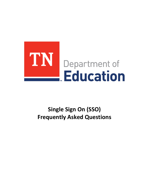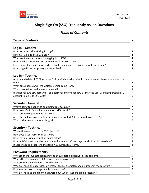

# *Table of Contents*

| <b>Table of Contents</b>                                                                                  | 2 |
|-----------------------------------------------------------------------------------------------------------|---|
|                                                                                                           |   |
| $Log In - General$                                                                                        |   |
| How do I access the SSO log in page?                                                                      | 4 |
| How do I log in to the SSO page?                                                                          | 4 |
| What are the expectations for logging in to SSO?                                                          | 4 |
| How will the current version of SSO differ from SSO V2.0?                                                 | 4 |
| I have never logged in before, when should I anticipate receiving my welcome email?                       | 4 |
| How long will the temporary password last?                                                                | 4 |
|                                                                                                           |   |
| $Log In - Technical$                                                                                      |   |
| After launch date, if TDOE receives Ed-Fi staff data, when should the user expect to receive a welcome    |   |
| email?                                                                                                    |   |
| What email domain will the welcome email come from?                                                       | 5 |
| What is contained in the welcome email?                                                                   | 5 |
| If a user has two SSO accounts-one personal and one for TDOE-may the user use their personal SSO          |   |
| account to log in to SSO V2.0?                                                                            | 6 |
|                                                                                                           |   |
| Security – General                                                                                        |   |
| What's going to happen to an existing SSO account?                                                        | 7 |
| How does Multi-Factor Authentication (MFA) work?                                                          | 7 |
| What are the requirements for MFA?                                                                        | 7 |
| After the first log-in attempt, how many times will MFA be required to access SSO?                        | 7 |
| What is the session time-out length?                                                                      | 7 |
|                                                                                                           |   |
| Security – Technical                                                                                      |   |
| Who will have access to the SSO User List?                                                                | 8 |
| How does a user reset their password?                                                                     | 8 |
| How may an Orion account be deactivated?                                                                  | 8 |
| How will Orion accounts be deactivated for when staff no longer works in a district/school?               | 8 |
| If Legacy app is locked, will that take way current SSO items?                                            | 8 |
|                                                                                                           |   |
| <b>Password Requirements</b>                                                                              |   |
| Catalogue theory development of the property of the best containing and the set of one of the property of |   |

| Why are there four categories, instead of 3, regarding password requirements?          | Q |
|----------------------------------------------------------------------------------------|---|
| Why is there a minimum of 8 characters in a password?                                  | q |
| Why are there a maximum of 15 characters?                                              | q |
| Why do I need an uppercase, lowercase, special character, and a number in my password? | a |
| Do these password changes apply to everyone?                                           | q |
| Why do I need to change my password now, when I just changed it recently?              | a |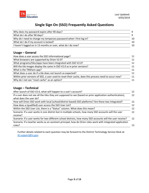

| Why does my password expire after 90 days?                         |    |
|--------------------------------------------------------------------|----|
| What do I do after 90 days?                                        |    |
| Why do I need to change my temporary password when I first log in? | 10 |
| What do I do if my account is locked?                              | 10 |
| I haven't logged on in 13 months or over, what do I do now?        | 10 |

### **Usage – General**

| How does a user access the SSO Informational page?                                                   | 11 |
|------------------------------------------------------------------------------------------------------|----|
| What browsers are supported by Orion V2.0?                                                           | 11 |
| What programs/tiles/apps have been integrated with SSO V2.0?                                         | 11 |
| Will the tile images display the same in SSO V2.0 as in prior versions?                              | 11 |
| What is the TNShare app?                                                                             | 11 |
| What does a user do if a tile does not launch as expected?                                           | 11 |
| Within prior versions of SSO, a user used to reset their cache, does this process need to occur now? | 11 |
| Why do I not see "reset cache" as an option?                                                         | 11 |
|                                                                                                      |    |

### **Usage – Technical**

| After launch of SSO V2.0, what will happen to a user's account?                                             | 12 |
|-------------------------------------------------------------------------------------------------------------|----|
| If a user does not see all the tiles they are supposed to see (based on prior application authentication),  | 12 |
| what does the user do?                                                                                      |    |
| How will Orion SSO work with local (school/district based) SSO platforms? Are these two integrated?         | 12 |
| How does a (qualified) user access the SSO User List?                                                       | 12 |
| Within the SSO User List, there is a "Status" column. What does this mean?                                  | 12 |
| Scenario: If a user works in one district but in multiple schools, how many SSO accounts will the user      | 12 |
| receive?                                                                                                    |    |
| Scenario: If a user works for two different school districts, how many SSO accounts will the user receive?  | 12 |
| Scenario: If a teacher works as an assistant principal, how do Orion roles work with integrated application |    |
| roles?                                                                                                      | 13 |
|                                                                                                             |    |

Further details related to each question may be forward to the District Technology Service Desk at: [dt.support@tn.gov.](mailto:dt.support@tn.gov)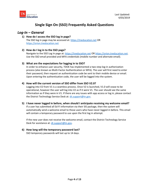

### *Log-In – General*

#### **1) How do I access the SSO log in page?**

The SSO log in page may be accessed at: [https://tneducation.net](https://tneducation.net/) OR [https://orion.tneducation.net](https://orion.tneducation.net/)

### **2) How do I log in to the SSO page?**

Navigate to the SSO Log In page at: [https://tneducation.net](https://tneducation.net/) O[R https://orion.tneducation.net.](https://orion.tneducation.net/) Use the SSO email provided and MFA credentials (mobile number and alternate email).

### **3) What are the expectations for logging in to SSO?**

In order to enhance user security, TDOE has implemented a two-step log-in authorization process (also known as Multi-Factor Authentication or MFA). The user will first need to enter their password, then request an authentication code be sent to their mobile device or email. Upon entering the authentication code, the user will be logged into the system.

### **4) How will the current version of SSO differ from SSO V2.0?**

Logging into V2 from V1 is a seamless process. Once V2 is launched, V1.0 will cease to be operational, however the user will log into V2 as if it were V1. The user should see the same information as if they were in V1. If there are any issues with app access or log in, please contact the District Technology Service Desk at[: dt.support@tn.gov.](mailto:dt.support@tn.gov)

#### **5) I have never logged in before, when should I anticipate receiving my welcome email?** If a user has submitted all Ed-Fi information via their SIS package, then the system will automatically send a welcome email to those users who have never logged in before. This email will contain a temporary password to use upon the first log in attempt.

If the new user does not receive the welcome email, contact the District Technology Service Desk for assistance at: [dt.support@tn.gov.](mailto:dt.support@tn.gov)

### **6) How long will the temporary password last?**

SSO temporary passwords will last up to 14 days.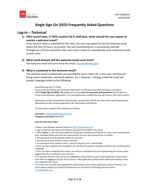

## *Log-In – Technical*

**1) After launch date, if TDOE receives Ed-Fi staff data, when should the user expect to receive a welcome email?** 

Once the Ed-Fi data is submitted to the state, the user may expect to see the welcome email within the next 24 hours. At present, the user provisioning list is consistently scanned throughout a 24 hour period for new users and is coded to automatically send a welcome email to new users.

#### **2) What email domain will the welcome email come from?**

The welcome email will come from the email: [security@tnedu.gov](mailto:security@tnedu.gov) .

#### **3) What is contained in the welcome email?**

The welcome email received will vary pending the user's status (IE: a new user, existing user being resent credentials, password updates, etc.). However, verbiage inside the email will contain language similar to the following:

Good Morning Jane Q. Public,

As you may have heard, the Tennessee Department of Education has been working on a program called **Single Sign On (SSO)**. SSO allows you to have **only one username and password** that will give you access to all education applications. This will significantly simplify how you will interact with state systems.

Applications will be converted to SSO gradually, starting with eTIGER and other state-owned applications, followed by vendor-hosted applications, like TNCompass and EdTools.

You have been assigned SSO credentials as follows:

**Username:** [jane.public@tneducation.gov](mailto:jane.public@tneducation.gov) **Temporary password:** Rdwx345

#### **Here are your next steps:**

- Open a new Browser window and go to [https://tneducation.net.](https://tneducation.net/)
- Log in using the username and temporary password provided in this email.
- After logging in, you will be prompted to change your temporary password to a new, secure password of your choosing. Please note that the requirements for your new password are as follows:
- The password must be between 8 and 16 characters
- The password must contain at least 1 number
- The password must contain at least 1 special character and 1 capital letter

• Once you have updated your password, you will then be asked to complete a Multi-Factor Authentication challenge.

• Once you have completed these steps, you will see a dashboard of icons representing the various state applications that are linked to your account.

• It's possible that you may not see any applications (tiles) listed on your Orion dashboard. Please check back often by logging-in to your Orion account. New applications (tiles) will be added periodically as they are integrated with Orion.

• If you do not currently have applications (tiles) listed on your Orion dashboard, and you feel this is an error, please contact your District EIS Supervisor or the District Technology Service Desk at [DT.Support@tn.gov](mailto:DT.Support@tn.gov)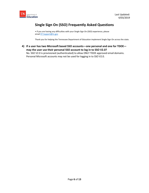

• If you are having any difficulties with your Single Sign On (SSO) experience, please email [DT.Support@tn.gov](mailto:DT.Support@tn.gov)

Thank you for helping the Tennessee Department of Education implement Single Sign On across the state.

**4) If a user has two Microsoft based SSO accounts—one personal and one for TDOE may the user use their personal SSO account to log in to SSO V2.0?** No. SSO V2.0 is provisioned (authenticated) to allow ONLY TDOE approved email domains. Personal Microsoft accounts may not be used for logging in to SSO V2.0.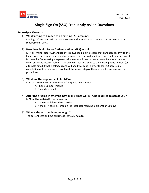

### *Security – General*

#### **1) What's going to happen to an existing SSO account?**

Existing SSO accounts will remain the same with the addition of an updated authentication requirement (MFA).

#### **2) How does Multi-Factor Authentication (MFA) work?**

MFA or "Multi-Factor Authentication" is a two-step log in process that enhances security to the log in procedure. Upon creation of an account, the user will need to ensure that their password is created. After entering the password, the user will need to enter a mobile phone number. Upon entry and hitting "Submit", the user will receive a code to the mobile phone number (or alternate email if that is selected) and will need this code in order to log in. Successfully completion of this process is considered the second step of the multi-factor authentication procedure.

#### **3) What are the requirements for MFA?**

MFA or "Multi-Factor Authentication" requires two criteria:

- A. Phone Number (mobile)
- B. Secondary email
- **4) After the first log-in attempt, how many times will MFA be required to access SSO?**  MFA will be initiated in two scenarios:
	- A. If the user deletes their cookies
	- B. If the MFA cookie stored on the local user machine is older than 90 days

#### **5) What is the session time-out length?**

The current session time-out rate is set to 20 minutes.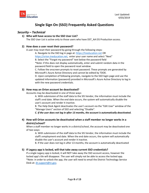

### *Security – Technical*

#### **1) Who will have access to the SSO User List?**

The SSO User List is active only to those users who have DST\_AA EIS Production access.

#### **2) How does a user reset their password?**

A user may reset their password by going through the following steps:

A. Navigate to the SSO log in page at: [https://tneducation.net](https://tneducation.net/) OR

[https://orion.tneducation.net,](https://orion.tneducation.net/) enter your user name and select "Next"

B. Select the "Forgot my password" text below the password field

\*Note: if this does not display automatically, enter and submit random data in the password field to open the password reset window.

C. Follow the onscreen prompts to reset password. These prompts are generated by Microsoft's Azure Active Directory and cannot be edited by TDOE.

D. Upon completion of following prompts, navigate to the SSO login page and use the updated information (password) provided in Microsoft's Azure Active Directory to log in with the new password credentials.

#### **3) How may an Orion account be deactivated?**

Accounts may be deactivated in one of three ways:

A. With submission of the staff data to the SIS Vendor, the information must include the staff's end date. When the end date occurs, the system will automatically disable the user's account and render it inactive.

B. The Help Desk Agent deactivates the user's account via the "Edit User" window of the "Manage Users" section of SSO and selecting "Disable".

*C. If the user does not log in after 13 months, the account is automatically deactivated.*

### **4) How will Orion accounts be deactivated when a staff member no longer works in a district/school?**

When a staff member no longer works in a district/school, the account may be deactivated one of two ways:

A. With submission of the staff data to the SIS Vendor, the information must include the staff's employment end date. When the end date occurs, the system will automatically disable the user's account and render it inactive.

B. If the user does not log in after 13 months, the account is automatically deactivated

#### **5) If Legacy app is locked, will that take away current SSO credentials?**

If a single Legacy app is locked, it will NOT take away the SSO account access, however the locked app's tile will disappear. The user will simply not be able to access the locked app. \*Note: in order to unlock the app, the user will need to email the District Technology Service Desk at: [dt.support@tn.gov.](mailto:dt.support@tn.gov)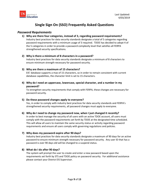

### *Password Requirements*

- **1) Why are there four categories, instead of 3, regarding password requirements?**  Industry best practices for data security standards designate a total of 5 categories regarding password requirements with a minimum usage of 3 required. TDOE has decided to adopt 4 of the 5 categories in order to provide a password complexity level that satisfies all FERPA strengthened security specifications.
- **2) Why is there a minimum of 8 characters in a password?** Industry best practices for data security standards designate a minimum of 8 characters to ensure minimum strength necessary for password security.

#### **3) Why are there a maximum of 15 characters?**

EIS' database supports a max of 15 characters, so in order to remain consistent with current database capabilities, the character limit is set to 15 characters.

**4) Why do I need an uppercase, lowercase, special character, and a number in my password?** 

To strengthen security requirements that comply with FERPA, these changes are necessary for password security.

#### **5) Do these password changes apply to everyone?**

Yes, in order to comply with industry best practices for data security standards and FERPA's strengthened security requirements, all password changes must apply to everyone.

#### **6) Why do I need to change my password now, when I just changed it recently?**

In order to best manage the security of all users with an active TDOE account, all users must comply with the password requirements set forth by TDOE at the designated time scheduled. This will allow all users to maintain the same security status or activity regarding password requirements and ensure all users comply with governing regulations and policies.

#### **7) Why does my password expire after 90 days?**

Industry best practices for data security standards designate a maximum of 90 days for an active password to ensure minimum strength necessary for password security. Any user ID that has a password is over 90 days old will be changed to a suspend status.

#### **8) What do I do after 90 days?**

The system will prompt the user to create and enter a new password based upon the requirements set forth by STS and TDOE policy on password security. For additional assistance please contact your District EIS Supervisor.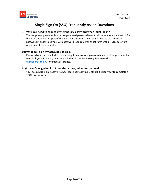

#### **9) Why do I need to change my temporary password when I first log in?**

The temporary password is an auto-generated password used to allow temporary activation for the user's account. As part of the next login attempt, the user will need to create a new password in order to comply with password requirements as set forth within TDOE password requirement documentation.

#### **10) What do I do if my account is locked?**

Passwords can become locked by entering 4 unsuccessful password change attempts. In order to unlock your account you must email the District Technology Service Desk at [dt.support@tn.gov](mailto:dt.support@tn.gov) for unlock assistance.

#### **11) I haven't logged on in 13 months or over, what do I do now?**

Your account is in an inactive status. Please contact your District EIS Supervisor to complete a TDOE access form.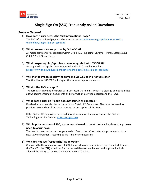

### *Usage – General*

- **1) How does a user access the SSO Informational page?** The SSO informational page may be accessed at[: https://www.tn.gov/education/district](https://www.tn.gov/education/district-technology/single-sign-on--sso.html)[technology/single-sign-on--sso.html](https://www.tn.gov/education/district-technology/single-sign-on--sso.html)
- **2) What browsers are supported by Orion V2.0?** All major browsers are supported within Orion V2.0, including: Chrome, Firefox, Safari 12.1.1 (13607.2.6.1.2), and Edge.
- **3) What programs/tiles/apps have been integrated with SSO V2.0?** A complete list of applications integrated within SSO may be found at: <https://www.tn.gov/education/district-technology/single-sign-on--sso.html>
- **4) Will the tile images display the same in SSO V2.0 as in prior versions?** Yes, the tiles for SSO V2.0 will display the same as in prior versions.

#### **5) What is the TNShare app?**

TNShare is an app that integrates with Microsoft SharePoint, which is a storage application that allows secure sharing of documents and information between districts and the TDOE.

#### **6) What does a user do if a tile does not launch as expected?**

If a tile does not launch, please contact your District EIS Supervisor. Please be prepared to provide a screenshot of the error message or description of the issue.

If the District EIS Supervisor needs additional assistance, they may contact the District Technology Service Desk at[: dt.support@tn.gov.](mailto:dt.support@tn.gov)

**7) Within prior versions of SSO, a user was allowed to reset their cache, does this process need to occur now?**

The need to reset cache is no longer needed. Due to the infrastructure improvements of the new SSO environment, resetting cache is no longer necessary.

#### **8) Why do I not see "reset cache" as an option?**

Compared to the original version of SSO, the need to reset cache is no longer needed. In short, the Time To Live (TTL) schedules for the cached files were enhanced and improved, which allowed the ability to remove the need to reset SSO cache.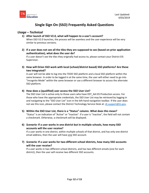

### *Usage – Technical*

**1) After launch of SSO V2.0, what will happen to a user's account?**

When SSO V2.0 launches, the process will be seamless and the user experience will be very similar to previous versions.

**2) If a user does not see all the tiles they are supposed to see (based on prior application authentication), what does the user do?**

If a user doesn't see the tiles they originally had access to, please contact your District EIS Supervisor.

**3) How will Orion SSO work with local (school/district based) SSO platforms? Are these two integrated?**

A user will not be able to log into the TDOE SSO platform and a local SSO platform within the same browser. In order to be logged in at the same time, the user will either need to go into "Incognito Mode" within the same browser or use a different browser to access the alternate SSO platform.

#### **4) How does a (qualified) user access the SSO User List?**

The SSO User List is active only to those users who have DST\_AA EIS Production access. For those who have the appropriate credentials, the SSO User List may be retrieved by logging in and navigating to the "SSO User List" icon in the left-hand navigation toolbar. If the user does not see this icon, please contact the District Technology Service Desk at: [dt.support@tn.gov.](mailto:dt.support@tn.gov)

- **5) Within the SSO User List, there is a "Status" column. What does this mean?** "Status" is an indication of "Active" or "Inactive". If a user is "Inactive", the field will not contain a checkmark. Otherwise, a checkmark will be displayed.
- **6)** *Scenario:* **If a user works in one district but in multiple schools, how many SSO accounts will the user receive?**

If a user works in one district, within multiple schools of that district, and has only one district email address, then the user will have one SSO account.

**7)** *Scenario:* **If a user works for two different school districts, how many SSO accounts will the user receive?**

If a user works in two different school districts, and has two different emails (one for each district), then the user will receive two different SSO accounts.